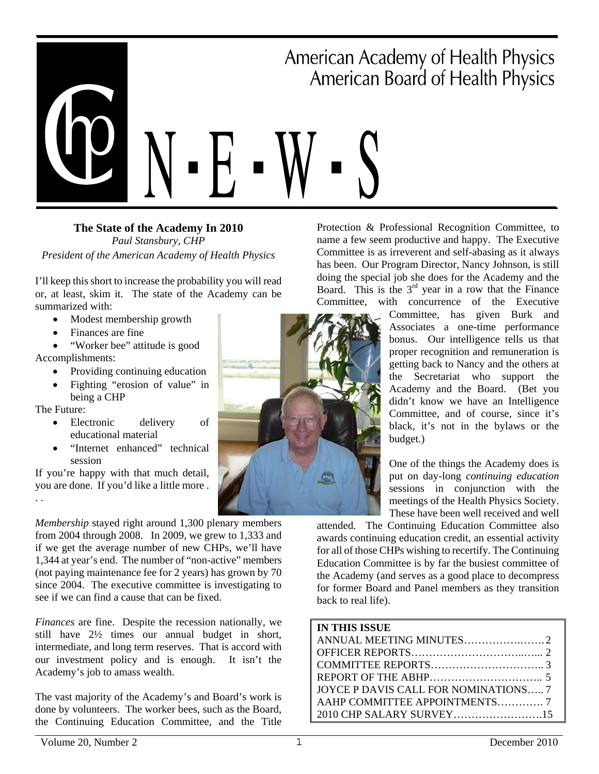# ■ ■ American Academy of Health Physics American Board of Health Physics ■

**The State of the Academy In 2010**  *Paul Stansbury, CHP President of the American Academy of Health Physics* 

I'll keep this short to increase the probability you will read or, at least, skim it. The state of the Academy can be summarized with:

- Modest membership growth
- Finances are fine

• "Worker bee" attitude is good Accomplishments:

- Providing continuing education
- Fighting "erosion of value" in
- being a CHP

The Future:

- Electronic delivery of educational material
- "Internet enhanced" technical session

If you're happy with that much detail, you are done. If you'd like a little more . . .

*Membership* stayed right around 1,300 plenary members from 2004 through 2008. In 2009, we grew to 1,333 and if we get the average number of new CHPs, we'll have 1,344 at year's end. The number of "non-active" members (not paying maintenance fee for 2 years) has grown by 70 since 2004. The executive committee is investigating to see if we can find a cause that can be fixed.

*Finances* are fine. Despite the recession nationally, we still have 2½ times our annual budget in short, intermediate, and long term reserves. That is accord with our investment policy and is enough. It isn't the Academy's job to amass wealth.

The vast majority of the Academy's and Board's work is done by volunteers. The worker bees, such as the Board, the Continuing Education Committee, and the Title



Protection & Professional Recognition Committee, to name a few seem productive and happy. The Executive Committee is as irreverent and self-abasing as it always has been. Our Program Director, Nancy Johnson, is still doing the special job she does for the Academy and the Board. This is the  $3<sup>rd</sup>$  year in a row that the Finance Committee, with concurrence of the Executive

Committee, has given Burk and Associates a one-time performance bonus. Our intelligence tells us that proper recognition and remuneration is getting back to Nancy and the others at the Secretariat who support the Academy and the Board. (Bet you didn't know we have an Intelligence Committee, and of course, since it's black, it's not in the bylaws or the budget.)

One of the things the Academy does is put on day-long *continuing education* sessions in conjunction with the meetings of the Health Physics Society. These have been well received and well

attended. The Continuing Education Committee also awards continuing education credit, an essential activity for all of those CHPs wishing to recertify. The Continuing Education Committee is by far the busiest committee of the Academy (and serves as a good place to decompress for former Board and Panel members as they transition back to real life).

| <b>IN THIS ISSUE</b>                 |  |
|--------------------------------------|--|
|                                      |  |
|                                      |  |
|                                      |  |
|                                      |  |
| JOYCE P DAVIS CALL FOR NOMINATIONS 7 |  |
|                                      |  |
| 2010 CHP SALARY SURVEY15             |  |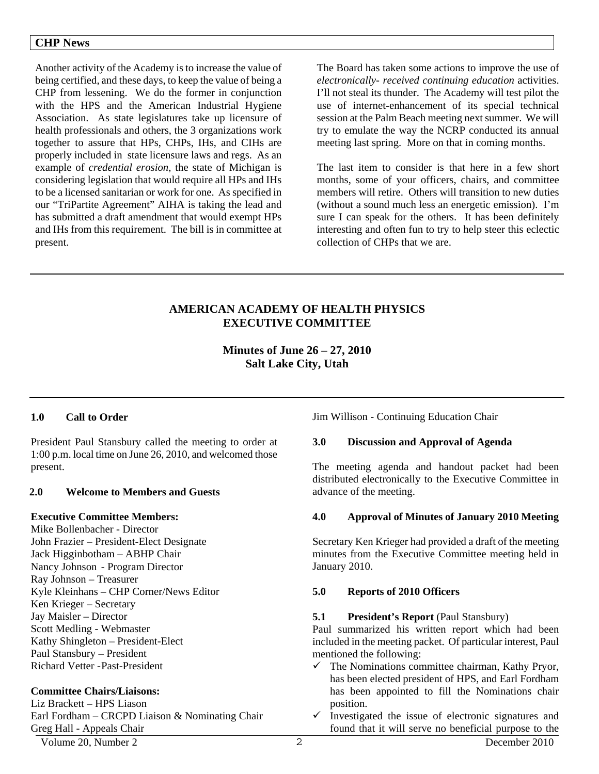#### **CHP News**

Another activity of the Academy is to increase the value of being certified, and these days, to keep the value of being a CHP from lessening. We do the former in conjunction with the HPS and the American Industrial Hygiene Association. As state legislatures take up licensure of health professionals and others, the 3 organizations work together to assure that HPs, CHPs, IHs, and CIHs are properly included in state licensure laws and regs. As an example of *credential erosion*, the state of Michigan is considering legislation that would require all HPs and IHs to be a licensed sanitarian or work for one. As specified in our "TriPartite Agreement" AIHA is taking the lead and has submitted a draft amendment that would exempt HPs and IHs from this requirement. The bill is in committee at present.

The Board has taken some actions to improve the use of *electronically- received continuing education* activities. I'll not steal its thunder. The Academy will test pilot the use of internet-enhancement of its special technical session at the Palm Beach meeting next summer. We will try to emulate the way the NCRP conducted its annual meeting last spring. More on that in coming months.

The last item to consider is that here in a few short months, some of your officers, chairs, and committee members will retire. Others will transition to new duties (without a sound much less an energetic emission). I'm sure I can speak for the others. It has been definitely interesting and often fun to try to help steer this eclectic collection of CHPs that we are.

### **AMERICAN ACADEMY OF HEALTH PHYSICS EXECUTIVE COMMITTEE**

**Minutes of June 26 – 27, 2010 Salt Lake City, Utah** 

#### **1.0 Call to Order**

President Paul Stansbury called the meeting to order at 1:00 p.m. local time on June 26, 2010, and welcomed those present.

#### **2.0 Welcome to Members and Guests**

#### **Executive Committee Members:**

Mike Bollenbacher - Director John Frazier – President-Elect Designate Jack Higginbotham – ABHP Chair Nancy Johnson - Program Director Ray Johnson – Treasurer Kyle Kleinhans – CHP Corner/News Editor Ken Krieger – Secretary Jay Maisler – Director Scott Medling - Webmaster Kathy Shingleton – President-Elect Paul Stansbury – President Richard Vetter - Past-President

#### **Committee Chairs/Liaisons:**

Liz Brackett – HPS Liason Earl Fordham – CRCPD Liaison & Nominating Chair Greg Hall - Appeals Chair

Jim Willison - Continuing Education Chair

#### **3.0 Discussion and Approval of Agenda**

The meeting agenda and handout packet had been distributed electronically to the Executive Committee in advance of the meeting.

#### **4.0 Approval of Minutes of January 2010 Meeting**

Secretary Ken Krieger had provided a draft of the meeting minutes from the Executive Committee meeting held in January 2010.

#### **5.0 Reports of 2010 Officers**

#### **5.1 President's Report** (Paul Stansbury)

Paul summarized his written report which had been included in the meeting packet. Of particular interest, Paul mentioned the following:

- $\checkmark$  The Nominations committee chairman, Kathy Pryor, has been elected president of HPS, and Earl Fordham has been appointed to fill the Nominations chair position.
- $\checkmark$  Investigated the issue of electronic signatures and found that it will serve no beneficial purpose to the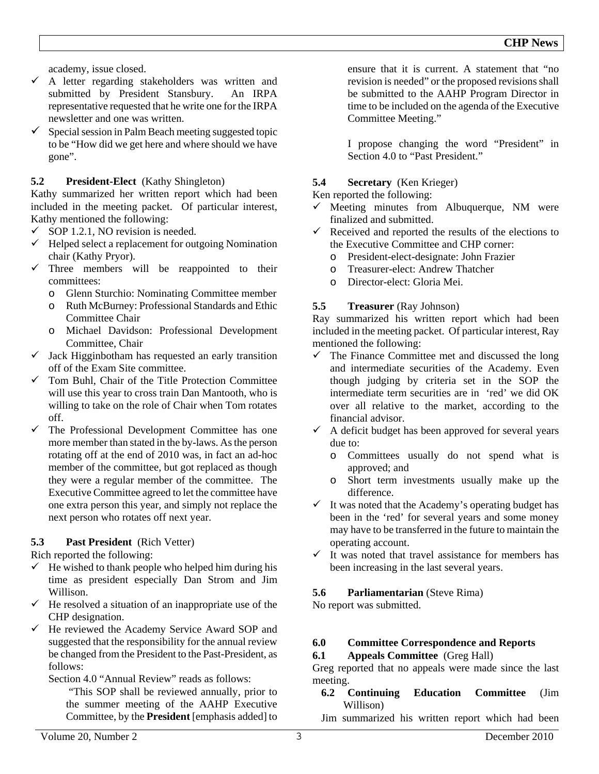academy, issue closed.

- $\checkmark$  A letter regarding stakeholders was written and submitted by President Stansbury. An IRPA representative requested that he write one for the IRPA newsletter and one was written.
- 9 Special session in Palm Beach meeting suggested topic to be "How did we get here and where should we have gone".

# **5.2 President-Elect** (Kathy Shingleton)

Kathy summarized her written report which had been included in the meeting packet. Of particular interest, Kathy mentioned the following:

- $\checkmark$  SOP 1.2.1, NO revision is needed.
- $\checkmark$  Helped select a replacement for outgoing Nomination chair (Kathy Pryor).
- $\checkmark$  Three members will be reappointed to their committees:
	- o Glenn Sturchio: Nominating Committee member
	- o Ruth McBurney: Professional Standards and Ethic Committee Chair
	- o Michael Davidson: Professional Development Committee, Chair
- $\checkmark$  Jack Higginbotham has requested an early transition off of the Exam Site committee.
- 9 Tom Buhl, Chair of the Title Protection Committee will use this year to cross train Dan Mantooth, who is willing to take on the role of Chair when Tom rotates off.
- $\checkmark$  The Professional Development Committee has one more member than stated in the by-laws. As the person rotating off at the end of 2010 was, in fact an ad-hoc member of the committee, but got replaced as though they were a regular member of the committee. The Executive Committee agreed to let the committee have one extra person this year, and simply not replace the next person who rotates off next year.

# **5.3 Past President** (Rich Vetter)

Rich reported the following:

- $\checkmark$  He wished to thank people who helped him during his time as president especially Dan Strom and Jim Willison.
- $\checkmark$  He resolved a situation of an inappropriate use of the CHP designation.
- $\checkmark$  He reviewed the Academy Service Award SOP and suggested that the responsibility for the annual review be changed from the President to the Past-President, as follows:

Section 4.0 "Annual Review" reads as follows:

 "This SOP shall be reviewed annually, prior to the summer meeting of the AAHP Executive Committee, by the **President** [emphasis added] to ensure that it is current. A statement that "no revision is needed" or the proposed revisions shall be submitted to the AAHP Program Director in time to be included on the agenda of the Executive Committee Meeting."

I propose changing the word "President" in Section 4.0 to "Past President."

# **5.4 Secretary** (Ken Krieger)

Ken reported the following:

- $\checkmark$  Meeting minutes from Albuquerque, NM were finalized and submitted.
- $\checkmark$  Received and reported the results of the elections to the Executive Committee and CHP corner:
	- o President-elect-designate: John Frazier
	- o Treasurer-elect: Andrew Thatcher
	- o Director-elect: Gloria Mei.

# **5.5 Treasurer** (Ray Johnson)

Ray summarized his written report which had been included in the meeting packet. Of particular interest, Ray mentioned the following:

- $\checkmark$  The Finance Committee met and discussed the long and intermediate securities of the Academy. Even though judging by criteria set in the SOP the intermediate term securities are in 'red' we did OK over all relative to the market, according to the financial advisor.
- $\checkmark$  A deficit budget has been approved for several years due to:
	- o Committees usually do not spend what is approved; and
	- o Short term investments usually make up the difference.
- $\checkmark$  It was noted that the Academy's operating budget has been in the 'red' for several years and some money may have to be transferred in the future to maintain the operating account.
- $\checkmark$  It was noted that travel assistance for members has been increasing in the last several years.

# **5.6 Parliamentarian** (Steve Rima)

No report was submitted.

# **6.0 Committee Correspondence and Reports**

# **6.1 Appeals Committee** (Greg Hall)

Greg reported that no appeals were made since the last meeting.

#### **6.2 Continuing Education Committee** (Jim Willison)

Jim summarized his written report which had been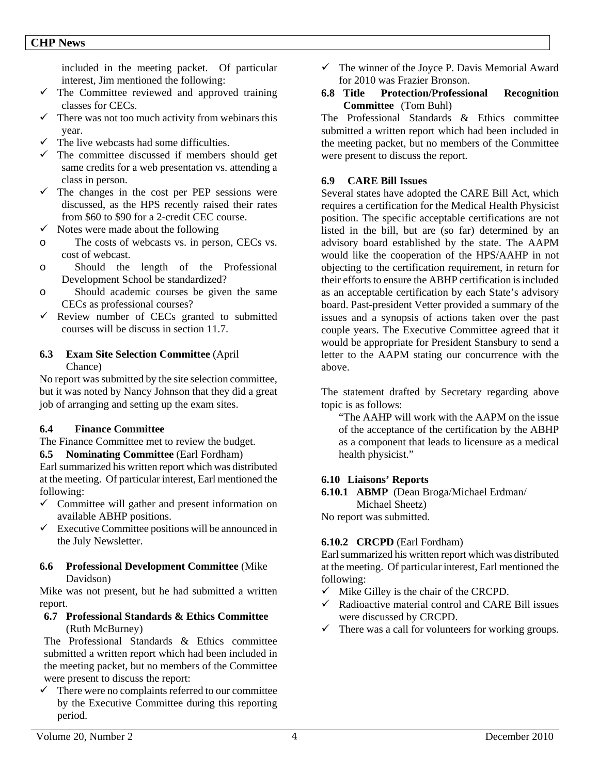included in the meeting packet. Of particular interest, Jim mentioned the following:

- $\checkmark$  The Committee reviewed and approved training classes for CECs.
- $\checkmark$  There was not too much activity from webinars this year.
- $\checkmark$  The live webcasts had some difficulties.
- $\checkmark$  The committee discussed if members should get same credits for a web presentation vs. attending a class in person.
- $\checkmark$  The changes in the cost per PEP sessions were discussed, as the HPS recently raised their rates from \$60 to \$90 for a 2-credit CEC course.
- $\checkmark$  Notes were made about the following
- o The costs of webcasts vs. in person, CECs vs. cost of webcast.
- o Should the length of the Professional Development School be standardized?
- o Should academic courses be given the same CECs as professional courses?
- $\checkmark$  Review number of CECs granted to submitted courses will be discuss in section 11.7.

#### **6.3 Exam Site Selection Committee** (April Chance)

No report was submitted by the site selection committee, but it was noted by Nancy Johnson that they did a great job of arranging and setting up the exam sites.

#### **6.4 Finance Committee**

The Finance Committee met to review the budget.

**6.5 Nominating Committee** (Earl Fordham) Earl summarized his written report which was distributed at the meeting. Of particular interest, Earl mentioned the following:

- $\checkmark$  Committee will gather and present information on available ABHP positions.
- $\checkmark$  Executive Committee positions will be announced in the July Newsletter.

#### **6.6 Professional Development Committee** (Mike Davidson)

Mike was not present, but he had submitted a written report.

#### **6.7 Professional Standards & Ethics Committee**  (Ruth McBurney)

The Professional Standards & Ethics committee submitted a written report which had been included in the meeting packet, but no members of the Committee were present to discuss the report:

 $\checkmark$  There were no complaints referred to our committee by the Executive Committee during this reporting period.

- $\checkmark$  The winner of the Joyce P. Davis Memorial Award for 2010 was Frazier Bronson.
- **6.8 Title Protection/Professional Recognition Committee** (Tom Buhl)

The Professional Standards & Ethics committee submitted a written report which had been included in the meeting packet, but no members of the Committee were present to discuss the report.

### **6.9 CARE Bill Issues**

Several states have adopted the CARE Bill Act, which requires a certification for the Medical Health Physicist position. The specific acceptable certifications are not listed in the bill, but are (so far) determined by an advisory board established by the state. The AAPM would like the cooperation of the HPS/AAHP in not objecting to the certification requirement, in return for their efforts to ensure the ABHP certification is included as an acceptable certification by each State's advisory board. Past-president Vetter provided a summary of the issues and a synopsis of actions taken over the past couple years. The Executive Committee agreed that it would be appropriate for President Stansbury to send a letter to the AAPM stating our concurrence with the above.

The statement drafted by Secretary regarding above topic is as follows:

"The AAHP will work with the AAPM on the issue of the acceptance of the certification by the ABHP as a component that leads to licensure as a medical health physicist."

#### **6.10 Liaisons' Reports**

**6.10.1 ABMP** (Dean Broga/Michael Erdman/ Michael Sheetz) No report was submitted.

# **6.10.2 CRCPD** (Earl Fordham)

Earl summarized his written report which was distributed at the meeting. Of particular interest, Earl mentioned the following:

- $\checkmark$  Mike Gilley is the chair of the CRCPD.
- $\checkmark$  Radioactive material control and CARE Bill issues were discussed by CRCPD.
- $\checkmark$  There was a call for volunteers for working groups.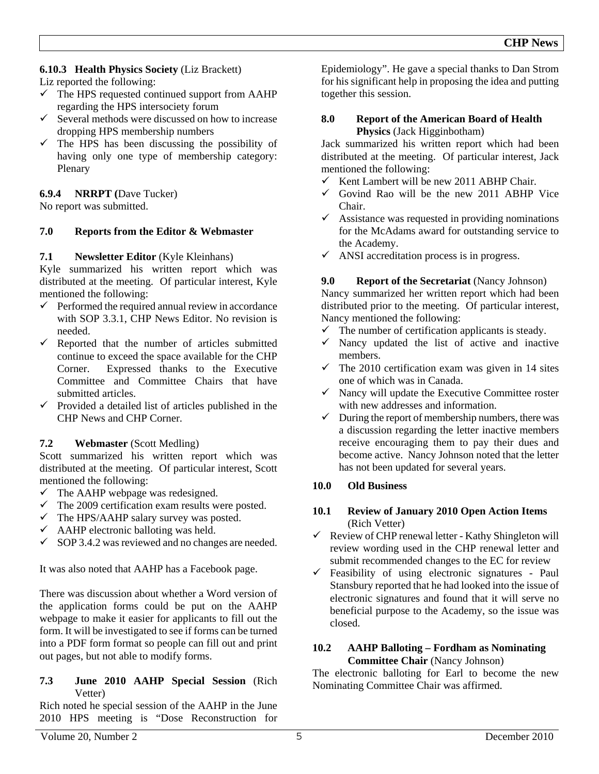### **6.10.3 Health Physics Society** (Liz Brackett)

Liz reported the following:

- $\checkmark$  The HPS requested continued support from AAHP regarding the HPS intersociety forum
- $\checkmark$  Several methods were discussed on how to increase dropping HPS membership numbers
- $\checkmark$  The HPS has been discussing the possibility of having only one type of membership category: Plenary

#### **6.9.4 NRRPT (**Dave Tucker)

No report was submitted.

#### **7.0 Reports from the Editor & Webmaster**

#### **7.1** Newsletter Editor (Kyle Kleinhans)

Kyle summarized his written report which was distributed at the meeting. Of particular interest, Kyle mentioned the following:

- $\checkmark$  Performed the required annual review in accordance with SOP 3.3.1, CHP News Editor. No revision is needed.
- $\checkmark$  Reported that the number of articles submitted continue to exceed the space available for the CHP Corner. Expressed thanks to the Executive Committee and Committee Chairs that have submitted articles.
- $\checkmark$  Provided a detailed list of articles published in the CHP News and CHP Corner.

#### **7.2 Webmaster** (Scott Medling)

Scott summarized his written report which was distributed at the meeting. Of particular interest, Scott mentioned the following:

- $\checkmark$  The AAHP webpage was redesigned.
- $\checkmark$  The 2009 certification exam results were posted.
- $\checkmark$  The HPS/AAHP salary survey was posted.
- $\checkmark$  AAHP electronic balloting was held.
- $\checkmark$  SOP 3.4.2 was reviewed and no changes are needed.

It was also noted that AAHP has a Facebook page.

There was discussion about whether a Word version of the application forms could be put on the AAHP webpage to make it easier for applicants to fill out the form. It will be investigated to see if forms can be turned into a PDF form format so people can fill out and print out pages, but not able to modify forms.

#### **7.3 June 2010 AAHP Special Session** (Rich Vetter)

Rich noted he special session of the AAHP in the June 2010 HPS meeting is "Dose Reconstruction for Epidemiology". He gave a special thanks to Dan Strom for his significant help in proposing the idea and putting together this session.

#### **8.0 Report of the American Board of Health Physics** (Jack Higginbotham)

Jack summarized his written report which had been distributed at the meeting. Of particular interest, Jack mentioned the following:

- $\checkmark$  Kent Lambert will be new 2011 ABHP Chair.
- $\checkmark$  Govind Rao will be the new 2011 ABHP Vice Chair.
- $\checkmark$  Assistance was requested in providing nominations for the McAdams award for outstanding service to the Academy.
- $\checkmark$  ANSI accreditation process is in progress.

#### **9.0** Report of the Secretariat (Nancy Johnson)

Nancy summarized her written report which had been distributed prior to the meeting. Of particular interest, Nancy mentioned the following:

- $\checkmark$  The number of certification applicants is steady.
- $\checkmark$  Nancy updated the list of active and inactive members.
- $\checkmark$  The 2010 certification exam was given in 14 sites one of which was in Canada.
- $\checkmark$  Nancy will update the Executive Committee roster with new addresses and information.
- $\checkmark$  During the report of membership numbers, there was a discussion regarding the letter inactive members receive encouraging them to pay their dues and become active. Nancy Johnson noted that the letter has not been updated for several years.

#### **10.0 Old Business**

#### **10.1 Review of January 2010 Open Action Items**  (Rich Vetter)

 $\checkmark$  Review of CHP renewal letter - Kathy Shingleton will review wording used in the CHP renewal letter and submit recommended changes to the EC for review

 $\checkmark$  Feasibility of using electronic signatures - Paul Stansbury reported that he had looked into the issue of electronic signatures and found that it will serve no beneficial purpose to the Academy, so the issue was closed.

#### **10.2 AAHP Balloting – Fordham as Nominating Committee Chair** (Nancy Johnson)

The electronic balloting for Earl to become the new Nominating Committee Chair was affirmed.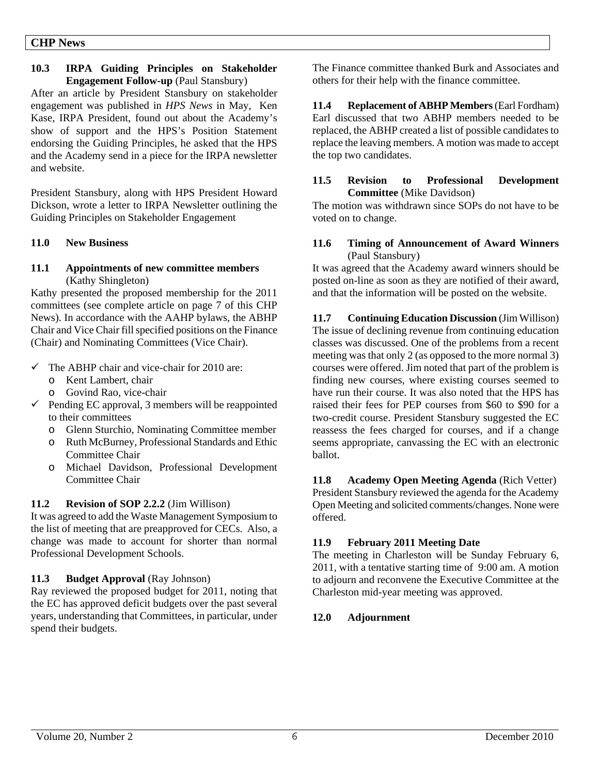#### **CHP News**

#### **10.3 IRPA Guiding Principles on Stakeholder Engagement Follow-up** (Paul Stansbury)

After an article by President Stansbury on stakeholder engagement was published in *HPS News* in May, Ken Kase, IRPA President, found out about the Academy's show of support and the HPS's Position Statement endorsing the Guiding Principles, he asked that the HPS and the Academy send in a piece for the IRPA newsletter and website.

President Stansbury, along with HPS President Howard Dickson, wrote a letter to IRPA Newsletter outlining the Guiding Principles on Stakeholder Engagement

#### **11.0 New Business**

#### **11.1 Appointments of new committee members**  (Kathy Shingleton)

Kathy presented the proposed membership for the 2011 committees (see complete article on page 7 of this CHP News). In accordance with the AAHP bylaws, the ABHP Chair and Vice Chair fill specified positions on the Finance (Chair) and Nominating Committees (Vice Chair).

- $\checkmark$  The ABHP chair and vice-chair for 2010 are:
	- o Kent Lambert, chair
	- o Govind Rao, vice-chair
- $\checkmark$  Pending EC approval, 3 members will be reappointed to their committees
	- o Glenn Sturchio, Nominating Committee member
	- o Ruth McBurney, Professional Standards and Ethic Committee Chair
	- o Michael Davidson, Professional Development Committee Chair

#### **11.2 Revision of SOP 2.2.2** (Jim Willison)

It was agreed to add the Waste Management Symposium to the list of meeting that are preapproved for CECs. Also, a change was made to account for shorter than normal Professional Development Schools.

#### **11.3 Budget Approval** (Ray Johnson)

Ray reviewed the proposed budget for 2011, noting that the EC has approved deficit budgets over the past several years, understanding that Committees, in particular, under spend their budgets.

The Finance committee thanked Burk and Associates and others for their help with the finance committee.

**11.4 Replacement of ABHP Members** (Earl Fordham) Earl discussed that two ABHP members needed to be replaced, the ABHP created a list of possible candidates to replace the leaving members. A motion was made to accept the top two candidates.

### **11.5 Revision to Professional Development Committee** (Mike Davidson)

The motion was withdrawn since SOPs do not have to be voted on to change.

#### **11.6 Timing of Announcement of Award Winners** (Paul Stansbury)

It was agreed that the Academy award winners should be posted on-line as soon as they are notified of their award, and that the information will be posted on the website.

**11.7 Continuing Education Discussion** (Jim Willison) The issue of declining revenue from continuing education classes was discussed. One of the problems from a recent meeting was that only 2 (as opposed to the more normal 3) courses were offered. Jim noted that part of the problem is finding new courses, where existing courses seemed to have run their course. It was also noted that the HPS has raised their fees for PEP courses from \$60 to \$90 for a two-credit course. President Stansbury suggested the EC reassess the fees charged for courses, and if a change seems appropriate, canvassing the EC with an electronic ballot.

**11.8 Academy Open Meeting Agenda** (Rich Vetter) President Stansbury reviewed the agenda for the Academy Open Meeting and solicited comments/changes. None were offered.

# **11.9 February 2011 Meeting Date**

The meeting in Charleston will be Sunday February 6, 2011, with a tentative starting time of 9:00 am. A motion to adjourn and reconvene the Executive Committee at the Charleston mid-year meeting was approved.

# **12.0 Adjournment**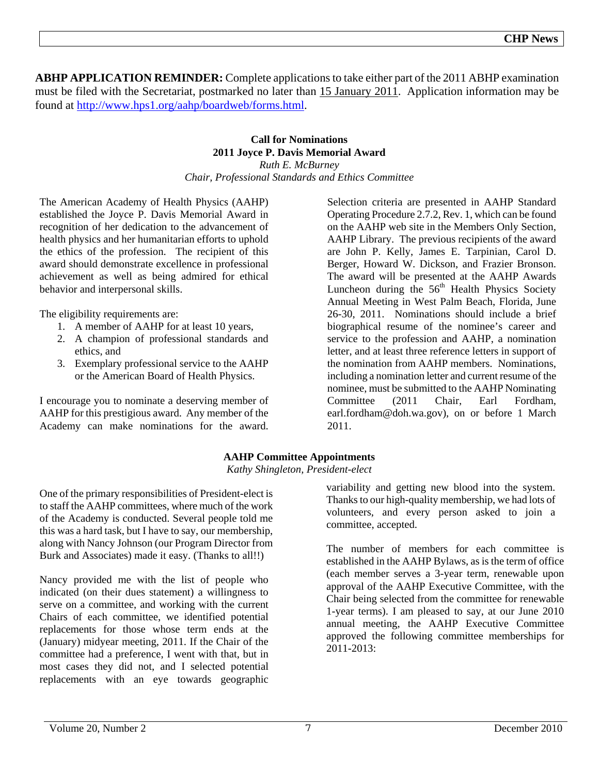**ABHP APPLICATION REMINDER:** Complete applications to take either part of the 2011 ABHP examination must be filed with the Secretariat, postmarked no later than 15 January 2011. Application information may be found at http://www.hps1.org/aahp/boardweb/forms.html.

#### **Call for Nominations 2011 Joyce P. Davis Memorial Award**  *Ruth E. McBurney*

*Chair, Professional Standards and Ethics Committee* 

The American Academy of Health Physics (AAHP) established the Joyce P. Davis Memorial Award in recognition of her dedication to the advancement of health physics and her humanitarian efforts to uphold the ethics of the profession. The recipient of this award should demonstrate excellence in professional achievement as well as being admired for ethical behavior and interpersonal skills.

The eligibility requirements are:

- 1. A member of AAHP for at least 10 years,
- 2. A champion of professional standards and ethics, and
- 3. Exemplary professional service to the AAHP or the American Board of Health Physics.

I encourage you to nominate a deserving member of AAHP for this prestigious award. Any member of the Academy can make nominations for the award.

Selection criteria are presented in AAHP Standard Operating Procedure 2.7.2, Rev. 1, which can be found on the AAHP web site in the Members Only Section, AAHP Library. The previous recipients of the award are John P. Kelly, James E. Tarpinian, Carol D. Berger, Howard W. Dickson, and Frazier Bronson. The award will be presented at the AAHP Awards Luncheon during the  $56<sup>th</sup>$  Health Physics Society Annual Meeting in West Palm Beach, Florida, June 26-30, 2011. Nominations should include a brief biographical resume of the nominee's career and service to the profession and AAHP, a nomination letter, and at least three reference letters in support of the nomination from AAHP members. Nominations, including a nomination letter and current resume of the nominee, must be submitted to the AAHP Nominating Committee (2011 Chair, Earl Fordham, earl.fordham@doh.wa.gov), on or before 1 March 2011.

# **AAHP Committee Appointments**

*Kathy Shingleton, President-elect* 

One of the primary responsibilities of President-elect is to staff the AAHP committees, where much of the work of the Academy is conducted. Several people told me this was a hard task, but I have to say, our membership, along with Nancy Johnson (our Program Director from Burk and Associates) made it easy. (Thanks to all!!)

Nancy provided me with the list of people who indicated (on their dues statement) a willingness to serve on a committee, and working with the current Chairs of each committee, we identified potential replacements for those whose term ends at the (January) midyear meeting, 2011. If the Chair of the committee had a preference, I went with that, but in most cases they did not, and I selected potential replacements with an eye towards geographic

variability and getting new blood into the system. Thanks to our high-quality membership, we had lots of volunteers, and every person asked to join a committee, accepted.

The number of members for each committee is established in the AAHP Bylaws, as is the term of office (each member serves a 3-year term, renewable upon approval of the AAHP Executive Committee, with the Chair being selected from the committee for renewable 1-year terms). I am pleased to say, at our June 2010 annual meeting, the AAHP Executive Committee approved the following committee memberships for 2011-2013: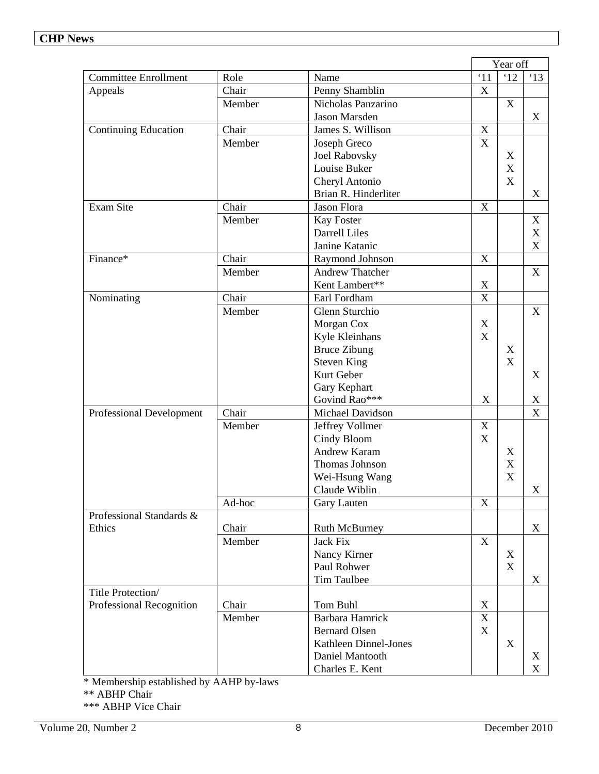|                             |        |                        |                           | Year off                  |                           |
|-----------------------------|--------|------------------------|---------------------------|---------------------------|---------------------------|
| <b>Committee Enrollment</b> | Role   | Name                   | $^{\circ}11$              | '12                       | $^{\circ}13$              |
| Appeals                     | Chair  | Penny Shamblin         | $\mathbf X$               |                           |                           |
|                             | Member | Nicholas Panzarino     |                           | X                         |                           |
|                             |        | Jason Marsden          |                           |                           | X                         |
| <b>Continuing Education</b> | Chair  | James S. Willison      | $\boldsymbol{\mathrm{X}}$ |                           |                           |
|                             | Member | Joseph Greco           | X                         |                           |                           |
|                             |        | <b>Joel Rabovsky</b>   |                           | X                         |                           |
|                             |        | Louise Buker           |                           | $\boldsymbol{\mathrm{X}}$ |                           |
|                             |        | Cheryl Antonio         |                           | $\boldsymbol{\mathrm{X}}$ |                           |
|                             |        | Brian R. Hinderliter   |                           |                           | X                         |
| <b>Exam Site</b>            | Chair  | Jason Flora            | $\boldsymbol{\mathrm{X}}$ |                           |                           |
|                             | Member | Kay Foster             |                           |                           | X                         |
|                             |        | <b>Darrell Liles</b>   |                           |                           | $\boldsymbol{\mathrm{X}}$ |
|                             |        | Janine Katanic         |                           |                           | $\mathbf X$               |
| Finance*                    | Chair  | Raymond Johnson        | $\boldsymbol{\mathrm{X}}$ |                           |                           |
|                             | Member | <b>Andrew Thatcher</b> |                           |                           | X                         |
|                             |        | Kent Lambert**         | X                         |                           |                           |
| Nominating                  | Chair  | Earl Fordham           | X                         |                           |                           |
|                             | Member | Glenn Sturchio         |                           |                           | X                         |
|                             |        | Morgan Cox             | $\mathbf X$               |                           |                           |
|                             |        | Kyle Kleinhans         | $\boldsymbol{\mathrm{X}}$ |                           |                           |
|                             |        | <b>Bruce Zibung</b>    |                           | X                         |                           |
|                             |        | <b>Steven King</b>     |                           | $\mathbf X$               |                           |
|                             |        | Kurt Geber             |                           |                           | X                         |
|                             |        | Gary Kephart           |                           |                           |                           |
|                             |        | Govind Rao***          | $\mathbf X$               |                           | $\mathbf X$               |
| Professional Development    | Chair  | Michael Davidson       |                           |                           | X                         |
|                             | Member | Jeffrey Vollmer        | $\mathbf X$               |                           |                           |
|                             |        | Cindy Bloom            | $\boldsymbol{\mathrm{X}}$ |                           |                           |
|                             |        | <b>Andrew Karam</b>    |                           | X                         |                           |
|                             |        | Thomas Johnson         |                           | $\mathbf X$               |                           |
|                             |        | Wei-Hsung Wang         |                           | $\mathbf X$               |                           |
|                             |        | Claude Wiblin          |                           |                           | X                         |
|                             | Ad-hoc | Gary Lauten            | $\mathbf X$               |                           |                           |
| Professional Standards &    |        |                        |                           |                           |                           |
| Ethics                      | Chair  | <b>Ruth McBurney</b>   |                           |                           | X                         |
|                             | Member | <b>Jack Fix</b>        | X                         |                           |                           |
|                             |        | Nancy Kirner           |                           | X                         |                           |
|                             |        | Paul Rohwer            |                           | $\boldsymbol{\mathrm{X}}$ |                           |
|                             |        | Tim Taulbee            |                           |                           | X                         |
| Title Protection/           |        |                        |                           |                           |                           |
| Professional Recognition    | Chair  | Tom Buhl               | $\mathbf X$               |                           |                           |
|                             | Member | Barbara Hamrick        | X                         |                           |                           |
|                             |        | <b>Bernard Olsen</b>   | $\boldsymbol{\mathrm{X}}$ |                           |                           |
|                             |        | Kathleen Dinnel-Jones  |                           | $\boldsymbol{\mathrm{X}}$ |                           |
|                             |        | Daniel Mantooth        |                           |                           | X                         |
|                             |        | Charles E. Kent        |                           |                           | X                         |

\* Membership established by AAHP by-laws

\*\* ABHP Chair

\*\*\* ABHP Vice Chair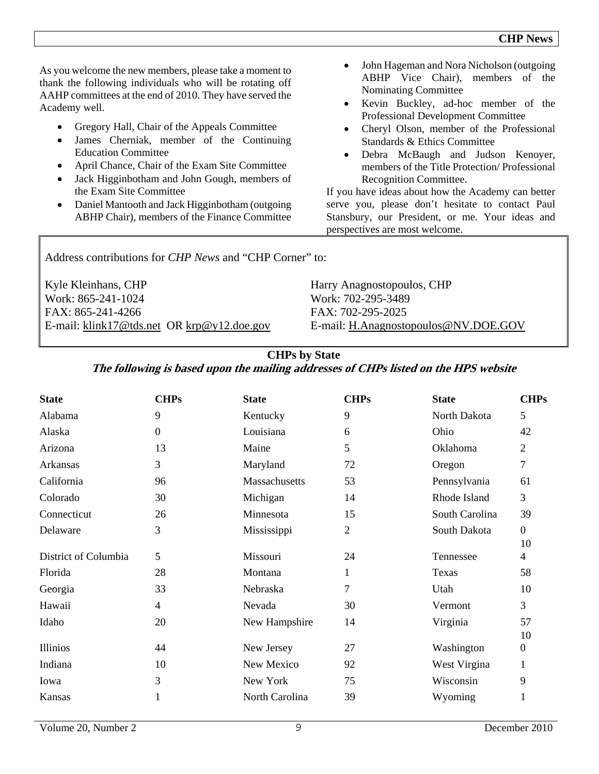As you welcome the new members, please take a moment to thank the following individuals who will be rotating off AAHP committees at the end of 2010. They have served the Academy well.

- Gregory Hall, Chair of the Appeals Committee
- James Cherniak, member of the Continuing Education Committee
- April Chance, Chair of the Exam Site Committee
- Jack Higginbotham and John Gough, members of the Exam Site Committee
- Daniel Mantooth and Jack Higginbotham (outgoing ABHP Chair), members of the Finance Committee
- John Hageman and Nora Nicholson (outgoing ABHP Vice Chair), members of the Nominating Committee
- Kevin Buckley, ad-hoc member of the Professional Development Committee
- Cheryl Olson, member of the Professional Standards & Ethics Committee
- Debra McBaugh and Judson Kenoyer, members of the Title Protection/ Professional Recognition Committee.

If you have ideas about how the Academy can better serve you, please don't hesitate to contact Paul Stansbury, our President, or me. Your ideas and perspectives are most welcome.

Address contributions for *CHP News* and "CHP Corner" to:

| Kyle Kleinhans, CHP                        | Harry Anagnostopoulos, CHP           |
|--------------------------------------------|--------------------------------------|
| Work: 865-241-1024                         | Work: 702-295-3489                   |
| FAX: 865-241-4266                          | FAX: 702-295-2025                    |
| E-mail: klink17@tds.net OR krp@y12.doe.gov | E-mail: H.Anagnostopoulos@NV.DOE.GOV |

# **CHPs by State**

# **The following is based upon the mailing addresses of CHPs listed on the HPS website**

| <b>State</b>         | <b>CHPs</b>      | <b>State</b>   | <b>CHPs</b>    | <b>State</b>   | <b>CHPs</b>    |
|----------------------|------------------|----------------|----------------|----------------|----------------|
| Alabama              | 9                | Kentucky       | 9              | North Dakota   | 5              |
| Alaska               | $\boldsymbol{0}$ | Louisiana      | 6              | Ohio           | 42             |
| Arizona              | 13               | Maine          | 5              | Oklahoma       | $\overline{2}$ |
| Arkansas             | 3                | Maryland       | 72             | Oregon         | 7              |
| California           | 96               | Massachusetts  | 53             | Pennsylvania   | 61             |
| Colorado             | 30               | Michigan       | 14             | Rhode Island   | 3              |
| Connecticut          | 26               | Minnesota      | 15             | South Carolina | 39             |
| Delaware             | 3                | Mississippi    | $\overline{2}$ | South Dakota   | $\overline{0}$ |
|                      |                  |                |                |                | 10             |
| District of Columbia | 5                | Missouri       | 24             | Tennessee      | 4              |
| Florida              | 28               | Montana        | 1              | Texas          | 58             |
| Georgia              | 33               | Nebraska       | 7              | Utah           | 10             |
| Hawaii               | $\overline{4}$   | Nevada         | 30             | Vermont        | 3              |
| Idaho                | 20               | New Hampshire  | 14             | Virginia       | 57             |
|                      |                  |                |                |                | 10             |
| Illinios             | 44               | New Jersey     | 27             | Washington     | $\overline{0}$ |
| Indiana              | 10               | New Mexico     | 92             | West Virgina   | 1              |
| Iowa                 | 3                | New York       | 75             | Wisconsin      | 9              |
| Kansas               |                  | North Carolina | 39             | Wyoming        |                |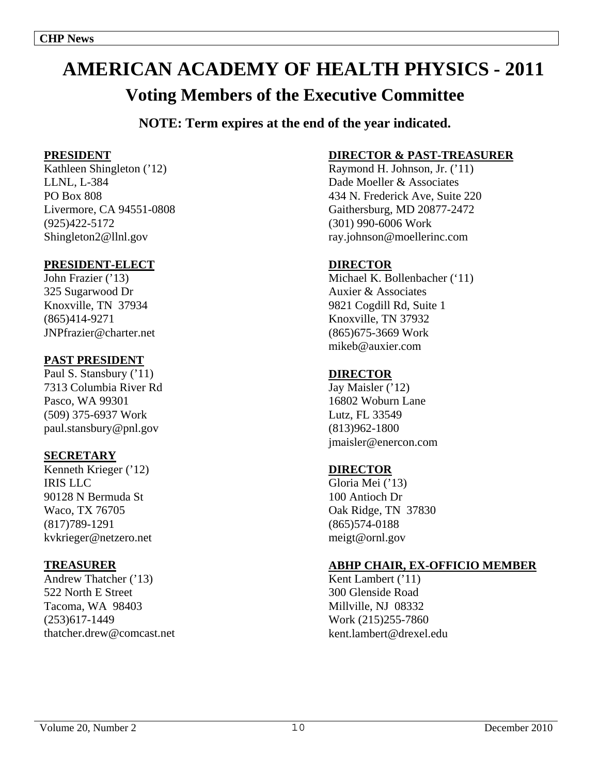# **AMERICAN ACADEMY OF HEALTH PHYSICS - 2011**

# **Voting Members of the Executive Committee**

**NOTE: Term expires at the end of the year indicated.**

# **PRESIDENT**

Kathleen Shingleton ('12) LLNL, L-384 PO Box 808 Livermore, CA 94551-0808 (925)422-5172 Shingleton2@llnl.gov

# **PRESIDENT-ELECT**

John Frazier ('13) 325 Sugarwood Dr Knoxville, TN 37934 (865)414-9271 JNPfrazier@charter.net

# **PAST PRESIDENT**

Paul S. Stansbury ('11) 7313 Columbia River Rd Pasco, WA 99301 (509) 375-6937 Work paul.stansbury@pnl.gov

# **SECRETARY**

Kenneth Krieger ('12) IRIS LLC 90128 N Bermuda St Waco, TX 76705 (817)789-1291 kvkrieger@netzero.net

# **TREASURER**

Andrew Thatcher ('13) 522 North E Street Tacoma, WA 98403 (253)617-1449 thatcher.drew@comcast.net

# **DIRECTOR & PAST-TREASURER**

Raymond H. Johnson, Jr. ('11) Dade Moeller & Associates 434 N. Frederick Ave, Suite 220 Gaithersburg, MD 20877-2472 (301) 990-6006 Work ray.johnson@moellerinc.com

# **DIRECTOR**

Michael K. Bollenbacher ('11) Auxier & Associates 9821 Cogdill Rd, Suite 1 Knoxville, TN 37932 (865)675-3669 Work mikeb@auxier.com

# **DIRECTOR**

Jay Maisler ('12) 16802 Woburn Lane Lutz, FL 33549 (813)962-1800 jmaisler@enercon.com

# **DIRECTOR**

Gloria Mei ('13) 100 Antioch Dr Oak Ridge, TN 37830 (865)574-0188 meigt@ornl.gov

# **ABHP CHAIR, EX-OFFICIO MEMBER**

Kent Lambert ('11) 300 Glenside Road Millville, NJ 08332 Work (215)255-7860 kent.lambert@drexel.edu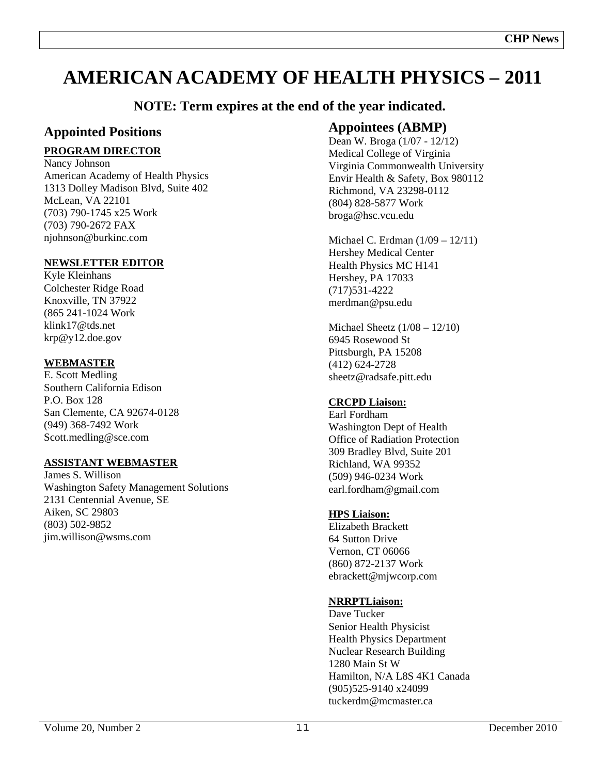# **AMERICAN ACADEMY OF HEALTH PHYSICS – 2011**

# **NOTE: Term expires at the end of the year indicated.**

# **Appointed Positions**

# **PROGRAM DIRECTOR**

Nancy Johnson American Academy of Health Physics 1313 Dolley Madison Blvd, Suite 402 McLean, VA 22101 (703) 790-1745 x25 Work (703) 790-2672 FAX njohnson@burkinc.com

# **NEWSLETTER EDITOR**

Kyle Kleinhans Colchester Ridge Road Knoxville, TN 37922 (865 241-1024 Work klink17@tds.net krp@y12.doe.gov

# **WEBMASTER**

E. Scott Medling Southern California Edison P.O. Box 128 San Clemente, CA 92674-0128 (949) 368-7492 Work Scott.medling@sce.com

# **ASSISTANT WEBMASTER**

James S. Willison Washington Safety Management Solutions 2131 Centennial Avenue, SE Aiken, SC 29803 (803) 502-9852 jim.willison@wsms.com

# **Appointees (ABMP)**

Dean W. Broga (1/07 - 12/12) Medical College of Virginia Virginia Commonwealth University Envir Health & Safety, Box 980112 Richmond, VA 23298-0112 (804) 828-5877 Work broga@hsc.vcu.edu

Michael C. Erdman (1/09 – 12/11) Hershey Medical Center Health Physics MC H141 Hershey, PA 17033 (717)531-4222 merdman@psu.edu

Michael Sheetz (1/08 – 12/10) 6945 Rosewood St Pittsburgh, PA 15208 (412) 624-2728 sheetz@radsafe.pitt.edu

# **CRCPD Liaison:**

Earl Fordham Washington Dept of Health Office of Radiation Protection 309 Bradley Blvd, Suite 201 Richland, WA 99352 (509) 946-0234 Work earl.fordham@gmail.com

# **HPS Liaison:**

Elizabeth Brackett 64 Sutton Drive Vernon, CT 06066 (860) 872-2137 Work ebrackett@mjwcorp.com

# **NRRPTLiaison:**

Dave Tucker Senior Health Physicist Health Physics Department Nuclear Research Building 1280 Main St W Hamilton, N/A L8S 4K1 Canada (905)525-9140 x24099 tuckerdm@mcmaster.ca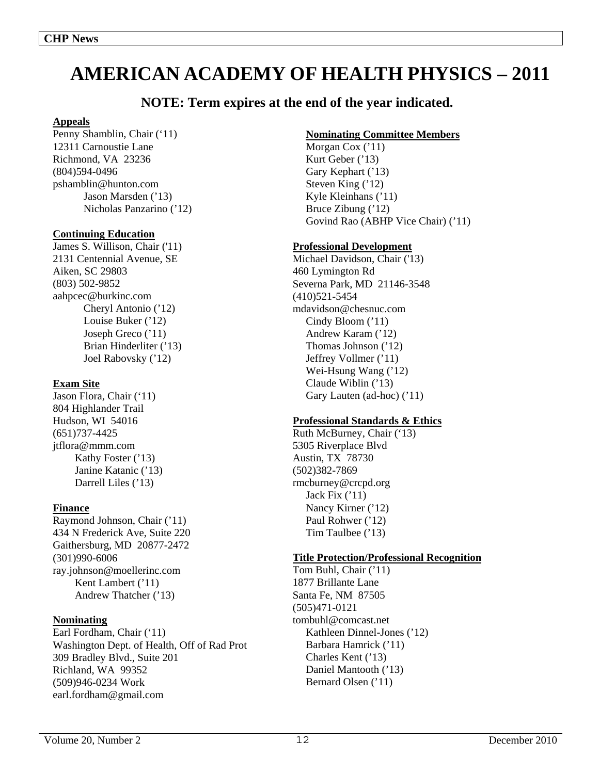# **AMERICAN ACADEMY OF HEALTH PHYSICS – 2011**

# **NOTE: Term expires at the end of the year indicated.**

#### **Appeals**

Penny Shamblin, Chair ('11) 12311 Carnoustie Lane Richmond, VA 23236 (804)594-0496 pshamblin@hunton.com Jason Marsden ('13) Nicholas Panzarino ('12)

#### **Continuing Education**

James S. Willison, Chair ('11) 2131 Centennial Avenue, SE Aiken, SC 29803 (803) 502-9852 aahpcec@burkinc.com Cheryl Antonio ('12) Louise Buker ('12) Joseph Greco ('11) Brian Hinderliter ('13) Joel Rabovsky ('12)

#### **Exam Site**

Jason Flora, Chair ('11) 804 Highlander Trail Hudson, WI 54016 (651)737-4425 jtflora@mmm.com Kathy Foster ('13) Janine Katanic ('13) Darrell Liles ('13)

#### **Finance**

Raymond Johnson, Chair ('11) 434 N Frederick Ave, Suite 220 Gaithersburg, MD 20877-2472 (301)990-6006 ray.johnson@moellerinc.com Kent Lambert ('11) Andrew Thatcher ('13)

#### **Nominating**

Earl Fordham, Chair ('11) Washington Dept. of Health, Off of Rad Prot 309 Bradley Blvd., Suite 201 Richland, WA 99352 (509)946-0234 Work earl.fordham@gmail.com

### **Nominating Committee Members**

Morgan Cox ('11) Kurt Geber ('13) Gary Kephart ('13) Steven King ('12) Kyle Kleinhans ('11) Bruce Zibung ('12) Govind Rao (ABHP Vice Chair) ('11)

#### **Professional Development**

Michael Davidson, Chair ('13) 460 Lymington Rd Severna Park, MD 21146-3548 (410)521-5454 mdavidson@chesnuc.com Cindy Bloom ('11) Andrew Karam ('12) Thomas Johnson ('12) Jeffrey Vollmer ('11) Wei-Hsung Wang ('12) Claude Wiblin ('13) Gary Lauten (ad-hoc) ('11)

# **Professional Standards & Ethics**

Ruth McBurney, Chair ('13) 5305 Riverplace Blvd Austin, TX 78730 (502)382-7869 rmcburney@crcpd.org Jack Fix  $('11)$  Nancy Kirner ('12) Paul Rohwer ('12) Tim Taulbee ('13)

#### **Title Protection/Professional Recognition**

Tom Buhl, Chair ('11) 1877 Brillante Lane Santa Fe, NM 87505 (505)471-0121 tombuhl@comcast.net Kathleen Dinnel-Jones ('12) Barbara Hamrick ('11) Charles Kent ('13) Daniel Mantooth ('13) Bernard Olsen ('11)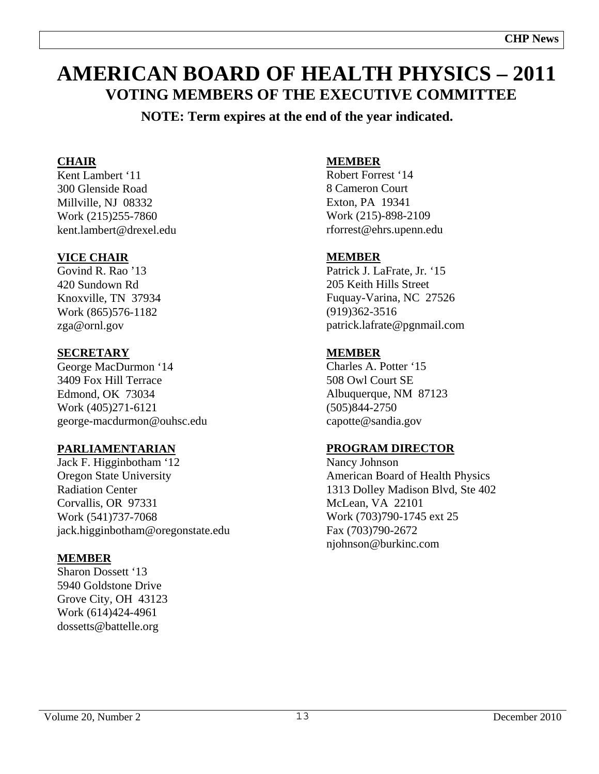# **AMERICAN BOARD OF HEALTH PHYSICS – 2011 VOTING MEMBERS OF THE EXECUTIVE COMMITTEE**

**NOTE: Term expires at the end of the year indicated.** 

# **CHAIR**

Kent Lambert '11 300 Glenside Road Millville, NJ 08332 Work (215)255-7860 kent.lambert@drexel.edu

# **VICE CHAIR**

Govind R. Rao '13 420 Sundown Rd Knoxville, TN 37934 Work (865)576-1182 zga@ornl.gov

# **SECRETARY**

George MacDurmon '14 3409 Fox Hill Terrace Edmond, OK 73034 Work (405)271-6121 george-macdurmon@ouhsc.edu

# **PARLIAMENTARIAN**

Jack F. Higginbotham '12 Oregon State University Radiation Center Corvallis, OR 97331 Work (541)737-7068 jack.higginbotham@oregonstate.edu

# **MEMBER**

Sharon Dossett '13 5940 Goldstone Drive Grove City, OH 43123 Work (614)424-4961 dossetts@battelle.org

# **MEMBER**

Robert Forrest '14 8 Cameron Court Exton, PA 19341 Work (215)-898-2109 rforrest@ehrs.upenn.edu

# **MEMBER**

Patrick J. LaFrate, Jr. '15 205 Keith Hills Street Fuquay-Varina, NC 27526 (919)362-3516 patrick.lafrate@pgnmail.com

# **MEMBER**

Charles A. Potter '15 508 Owl Court SE Albuquerque, NM 87123 (505)844-2750 capotte@sandia.gov

# **PROGRAM DIRECTOR**

Nancy Johnson American Board of Health Physics 1313 Dolley Madison Blvd, Ste 402 McLean, VA 22101 Work (703)790-1745 ext 25 Fax (703)790-2672 njohnson@burkinc.com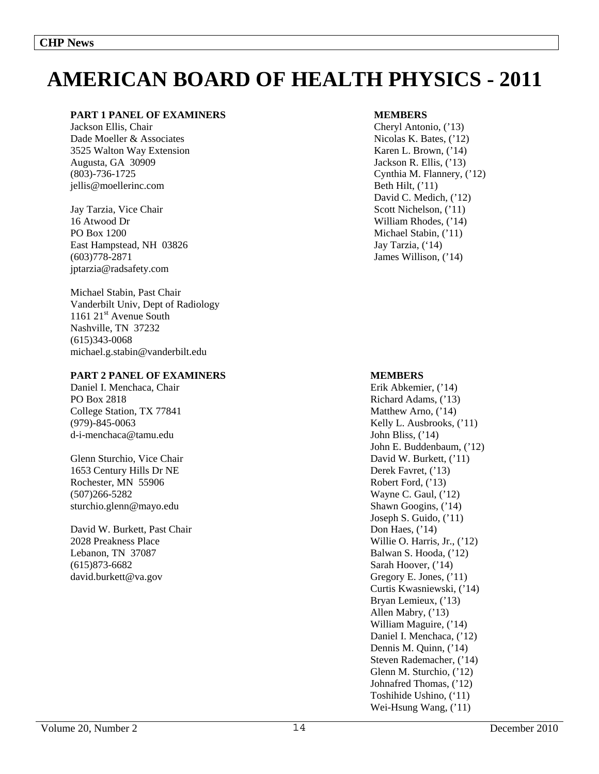# **AMERICAN BOARD OF HEALTH PHYSICS - 2011**

#### **PART 1 PANEL OF EXAMINERS**

Jackson Ellis, Chair Dade Moeller & Associates 3525 Walton Way Extension Augusta, GA 30909 (803)-736-1725 jellis@moellerinc.com

Jay Tarzia, Vice Chair 16 Atwood Dr PO Box 1200 East Hampstead, NH 03826 (603)778-2871 jptarzia@radsafety.com

Michael Stabin, Past Chair Vanderbilt Univ, Dept of Radiology 1161 21<sup>st</sup> Avenue South Nashville, TN 37232 (615)343-0068 michael.g.stabin@vanderbilt.edu

#### **PART 2 PANEL OF EXAMINERS**

Daniel I. Menchaca, Chair PO Box 2818 College Station, TX 77841 (979)-845-0063 d-i-menchaca@tamu.edu

Glenn Sturchio, Vice Chair 1653 Century Hills Dr NE Rochester, MN 55906 (507)266-5282 sturchio.glenn@mayo.edu

David W. Burkett, Past Chair 2028 Preakness Place Lebanon, TN 37087 (615)873-6682 david.burkett@va.gov

#### **MEMBERS**

Cheryl Antonio, ('13) Nicolas K. Bates, ('12) Karen L. Brown, ('14) Jackson R. Ellis, ('13) Cynthia M. Flannery, ('12) Beth Hilt,  $('11)$ David C. Medich,  $('12)$ Scott Nichelson, ('11) William Rhodes, ('14) Michael Stabin, ('11) Jay Tarzia, ('14) James Willison, ('14)

#### **MEMBERS**

Erik Abkemier, ('14) Richard Adams, ('13) Matthew Arno, ('14) Kelly L. Ausbrooks, ('11) John Bliss, ('14) John E. Buddenbaum, ('12) David W. Burkett, ('11) Derek Favret, ('13) Robert Ford, ('13) Wayne C. Gaul,  $('12)$ Shawn Googins, ('14) Joseph S. Guido, ('11) Don Haes, ('14) Willie O. Harris, Jr., ('12) Balwan S. Hooda, ('12) Sarah Hoover, ('14) Gregory E. Jones, ('11) Curtis Kwasniewski, ('14) Bryan Lemieux,  $('13)$ Allen Mabry, ('13) William Maguire, ('14) Daniel I. Menchaca, ('12) Dennis M. Quinn, ('14) Steven Rademacher, ('14) Glenn M. Sturchio, ('12) Johnafred Thomas, ('12) Toshihide Ushino, ('11) Wei-Hsung Wang,  $('11)$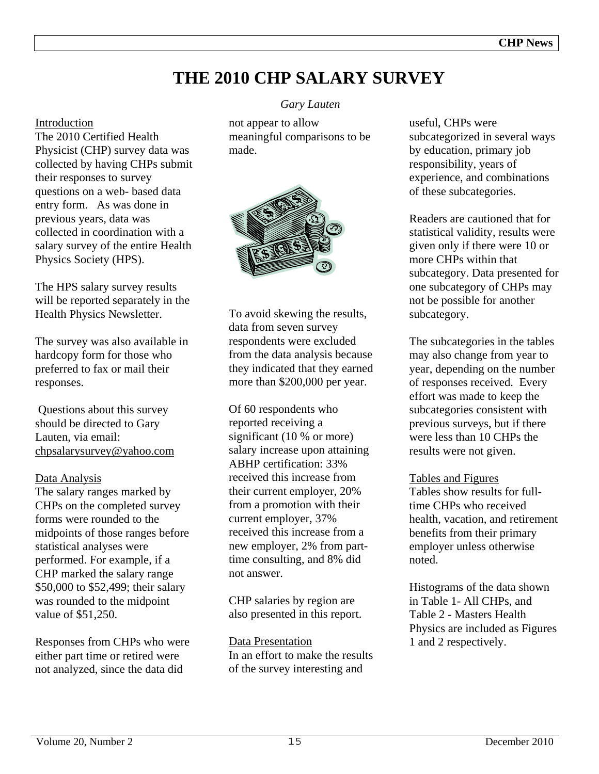# **THE 2010 CHP SALARY SURVEY**

### Introduction

The 2010 Certified Health Physicist (CHP) survey data was collected by having CHPs submit their responses to survey questions on a web- based data entry form. As was done in previous years, data was collected in coordination with a salary survey of the entire Health Physics Society (HPS).

The HPS salary survey results will be reported separately in the Health Physics Newsletter.

The survey was also available in hardcopy form for those who preferred to fax or mail their responses.

 Questions about this survey should be directed to Gary Lauten, via email: chpsalarysurvey@yahoo.com

# Data Analysis

The salary ranges marked by CHPs on the completed survey forms were rounded to the midpoints of those ranges before statistical analyses were performed. For example, if a CHP marked the salary range \$50,000 to \$52,499; their salary was rounded to the midpoint value of \$51,250.

Responses from CHPs who were either part time or retired were not analyzed, since the data did

# *Gary Lauten*

not appear to allow meaningful comparisons to be made.



To avoid skewing the results, data from seven survey respondents were excluded from the data analysis because they indicated that they earned more than \$200,000 per year.

Of 60 respondents who reported receiving a significant (10 % or more) salary increase upon attaining ABHP certification: 33% received this increase from their current employer, 20% from a promotion with their current employer, 37% received this increase from a new employer, 2% from parttime consulting, and 8% did not answer.

CHP salaries by region are also presented in this report.

Data Presentation In an effort to make the results of the survey interesting and

useful, CHPs were subcategorized in several ways by education, primary job responsibility, years of experience, and combinations of these subcategories.

Readers are cautioned that for statistical validity, results were given only if there were 10 or more CHPs within that subcategory. Data presented for one subcategory of CHPs may not be possible for another subcategory.

The subcategories in the tables may also change from year to year, depending on the number of responses received. Every effort was made to keep the subcategories consistent with previous surveys, but if there were less than 10 CHPs the results were not given.

# Tables and Figures

Tables show results for fulltime CHPs who received health, vacation, and retirement benefits from their primary employer unless otherwise noted.

Histograms of the data shown in Table 1- All CHPs, and Table 2 - Masters Health Physics are included as Figures 1 and 2 respectively.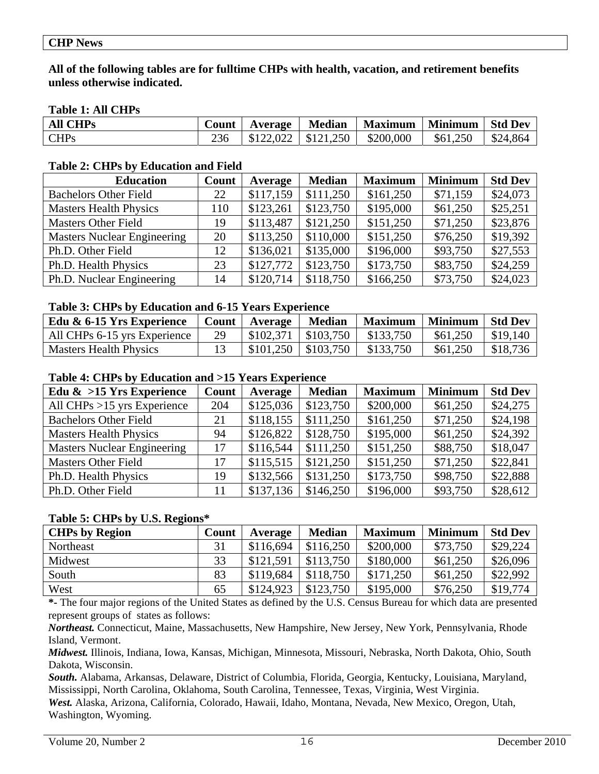#### **CHP News**

**All of the following tables are for fulltime CHPs with health, vacation, and retirement benefits unless otherwise indicated.** 

### **Table 1: All CHPs**

| <b>All CHPs</b> | Count | Average | <b>Median</b> | <b>Maximum</b>                     | <b>Minimum</b>      | <b>Std Dev</b>         |
|-----------------|-------|---------|---------------|------------------------------------|---------------------|------------------------|
| <b>CHPs</b>     |       |         |               | $$122,022$   \$121,250   \$200,000 | $\frac{1}{561,250}$ | $\frac{1}{2}$ \$24,864 |

#### **Table 2: CHPs by Education and Field**

| <b>Education</b>                   | Count | Average   | <b>Median</b> | <b>Maximum</b> | <b>Minimum</b> | <b>Std Dev</b> |
|------------------------------------|-------|-----------|---------------|----------------|----------------|----------------|
| <b>Bachelors Other Field</b>       | 22    | \$117,159 | \$111,250     | \$161,250      | \$71,159       | \$24,073       |
| <b>Masters Health Physics</b>      | 110   | \$123,261 | \$123,750     | \$195,000      | \$61,250       | \$25,251       |
| <b>Masters Other Field</b>         | 19    | \$113,487 | \$121,250     | \$151,250      | \$71,250       | \$23,876       |
| <b>Masters Nuclear Engineering</b> | 20    | \$113,250 | \$110,000     | \$151,250      | \$76,250       | \$19,392       |
| Ph.D. Other Field                  | 12    | \$136,021 | \$135,000     | \$196,000      | \$93,750       | \$27,553       |
| Ph.D. Health Physics               | 23    | \$127,772 | \$123,750     | \$173,750      | \$83,750       | \$24,259       |
| Ph.D. Nuclear Engineering          | 14    | \$120,714 | \$118,750     | \$166,250      | \$73,750       | \$24,023       |

#### **Table 3: CHPs by Education and 6-15 Years Experience**

| Edu & 6-15 Yrs Experience    |    | Count   Average        | Median                 | Maximum   | Minimum  | ∣ Std Dev |
|------------------------------|----|------------------------|------------------------|-----------|----------|-----------|
| All CHPs 6-15 yrs Experience | 29 |                        | $$102,371$   \$103,750 | \$133.750 | \$61,250 | \$19.140  |
| Masters Health Physics       |    | $$101,250$   \$103,750 |                        | \$133,750 | \$61,250 | \$18,736  |

### **Table 4: CHPs by Education and >15 Years Experience**

| Edu $\&$ >15 Yrs Experience        | Count | Average   | <b>Median</b> | <b>Maximum</b> | <b>Minimum</b> | <b>Std Dev</b> |
|------------------------------------|-------|-----------|---------------|----------------|----------------|----------------|
| All CHPs $>15$ yrs Experience      | 204   | \$125,036 | \$123,750     | \$200,000      | \$61,250       | \$24,275       |
| <b>Bachelors Other Field</b>       | 21    | \$118,155 | \$111,250     | \$161,250      | \$71,250       | \$24,198       |
| <b>Masters Health Physics</b>      | 94    | \$126,822 | \$128,750     | \$195,000      | \$61,250       | \$24,392       |
| <b>Masters Nuclear Engineering</b> | 17    | \$116,544 | \$111,250     | \$151,250      | \$88,750       | \$18,047       |
| <b>Masters Other Field</b>         | 17    | \$115,515 | \$121,250     | \$151,250      | \$71,250       | \$22,841       |
| Ph.D. Health Physics               | 19    | \$132,566 | \$131,250     | \$173,750      | \$98,750       | \$22,888       |
| Ph.D. Other Field                  | 11    | \$137,136 | \$146,250     | \$196,000      | \$93,750       | \$28,612       |

#### **Table 5: CHPs by U.S. Regions\***

| <b>CHPs by Region</b> | Count | Average   | <b>Median</b> | <b>Maximum</b> | <b>Minimum</b> | <b>Std Dev</b> |
|-----------------------|-------|-----------|---------------|----------------|----------------|----------------|
| Northeast             | 31    | \$116,694 | \$116,250     | \$200,000      | \$73,750       | \$29,224       |
| Midwest               | 33    | \$121.591 | \$113,750     | \$180,000      | \$61,250       | \$26,096       |
| South                 | 83    | \$119,684 | \$118,750     | \$171,250      | \$61,250       | \$22,992       |
| West                  | 65    | \$124,923 | \$123,750     | \$195,000      | \$76,250       | \$19,774       |

**\*-** The four major regions of the United States as defined by the U.S. Census Bureau for which data are presented represent groups of states as follows:

*Northeast.* Connecticut, Maine, Massachusetts, New Hampshire, New Jersey, New York, Pennsylvania, Rhode Island, Vermont.

*Midwest.* Illinois, Indiana, Iowa, Kansas, Michigan, Minnesota, Missouri, Nebraska, North Dakota, Ohio, South Dakota, Wisconsin.

*South.* Alabama, Arkansas, Delaware, District of Columbia, Florida, Georgia, Kentucky, Louisiana, Maryland, Mississippi, North Carolina, Oklahoma, South Carolina, Tennessee, Texas, Virginia, West Virginia. *West.* Alaska, Arizona, California, Colorado, Hawaii, Idaho, Montana, Nevada, New Mexico, Oregon, Utah, Washington, Wyoming.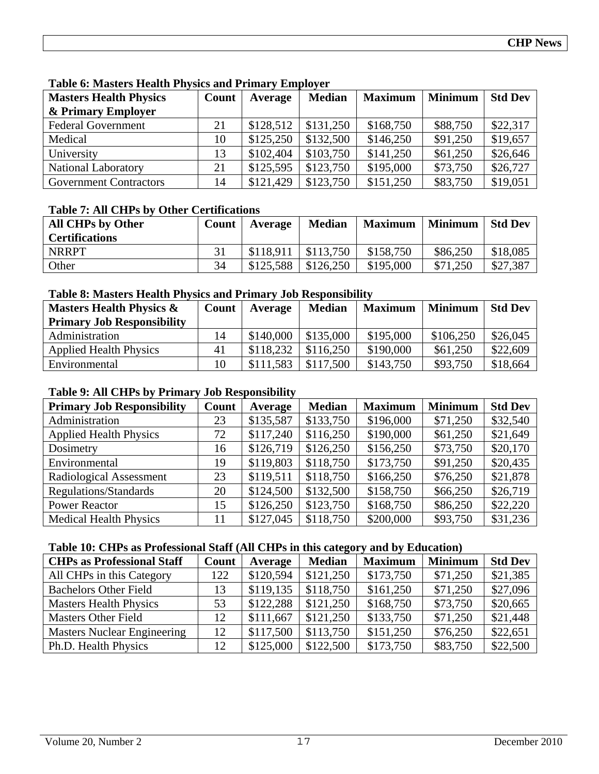| <b>Masters Health Physics</b> | Count | Average   | <b>Median</b> | <b>Maximum</b> | <b>Minimum</b> | <b>Std Dev</b> |
|-------------------------------|-------|-----------|---------------|----------------|----------------|----------------|
| & Primary Employer            |       |           |               |                |                |                |
| <b>Federal Government</b>     | 21    | \$128,512 | \$131,250     | \$168,750      | \$88,750       | \$22,317       |
| Medical                       | 10    | \$125,250 | \$132,500     | \$146,250      | \$91,250       | \$19,657       |
| University                    | 13    | \$102,404 | \$103,750     | \$141,250      | \$61,250       | \$26,646       |
| <b>National Laboratory</b>    | 21    | \$125,595 | \$123,750     | \$195,000      | \$73,750       | \$26,727       |
| <b>Government Contractors</b> | 14    | \$121,429 | \$123,750     | \$151,250      | \$83,750       | \$19,051       |

**Table 6: Masters Health Physics and Primary Employer** 

# **Table 7: All CHPs by Other Certifications**

| <b>All CHPs by Other</b><br><b>Certifications</b> | Count | Average   | <b>Median</b> | <b>Maximum</b> | <b>Minimum</b> | <b>Std Dev</b> |
|---------------------------------------------------|-------|-----------|---------------|----------------|----------------|----------------|
| <b>NRRPT</b>                                      |       | \$118.911 | \$113,750     | \$158,750      | \$86,250       | \$18,085       |
| Other                                             | 34    | \$125.588 | \$126,250     | \$195,000      | \$71,250       | \$27,387       |

# **Table 8: Masters Health Physics and Primary Job Responsibility**

| <b>Masters Health Physics &amp;</b> | Count | Average   | <b>Median</b> | <b>Maximum</b> | <b>Minimum</b> | <b>Std Dev</b> |
|-------------------------------------|-------|-----------|---------------|----------------|----------------|----------------|
| <b>Primary Job Responsibility</b>   |       |           |               |                |                |                |
| Administration                      | 14    | \$140,000 | \$135,000     | \$195,000      | \$106,250      | \$26,045       |
| <b>Applied Health Physics</b>       | 41    | \$118,232 | \$116,250     | \$190,000      | \$61,250       | \$22,609       |
| Environmental                       | 10    | \$111,583 | \$117,500     | \$143,750      | \$93,750       | \$18,664       |

# **Table 9: All CHPs by Primary Job Responsibility**

| <b>Primary Job Responsibility</b> | Count | Average   | <b>Median</b> | <b>Maximum</b> | <b>Minimum</b> | <b>Std Dev</b> |
|-----------------------------------|-------|-----------|---------------|----------------|----------------|----------------|
| Administration                    | 23    | \$135,587 | \$133,750     | \$196,000      | \$71,250       | \$32,540       |
| <b>Applied Health Physics</b>     | 72    | \$117,240 | \$116,250     | \$190,000      | \$61,250       | \$21,649       |
| Dosimetry                         | 16    | \$126,719 | \$126,250     | \$156,250      | \$73,750       | \$20,170       |
| Environmental                     | 19    | \$119,803 | \$118,750     | \$173,750      | \$91,250       | \$20,435       |
| Radiological Assessment           | 23    | \$119,511 | \$118,750     | \$166,250      | \$76,250       | \$21,878       |
| Regulations/Standards             | 20    | \$124,500 | \$132,500     | \$158,750      | \$66,250       | \$26,719       |
| <b>Power Reactor</b>              | 15    | \$126,250 | \$123,750     | \$168,750      | \$86,250       | \$22,220       |
| <b>Medical Health Physics</b>     | 11    | \$127,045 | \$118,750     | \$200,000      | \$93,750       | \$31,236       |

### **Table 10: CHPs as Professional Staff (All CHPs in this category and by Education)**

| <b>CHPs as Professional Staff</b>  | Count | Average   | <b>Median</b> | <b>Maximum</b> | <b>Minimum</b> | <b>Std Dev</b> |
|------------------------------------|-------|-----------|---------------|----------------|----------------|----------------|
| All CHPs in this Category          | 122   | \$120,594 | \$121,250     | \$173,750      | \$71,250       | \$21,385       |
| <b>Bachelors Other Field</b>       | 13    | \$119,135 | \$118,750     | \$161,250      | \$71,250       | \$27,096       |
| <b>Masters Health Physics</b>      | 53    | \$122,288 | \$121,250     | \$168,750      | \$73,750       | \$20,665       |
| <b>Masters Other Field</b>         | 12    | \$111,667 | \$121,250     | \$133,750      | \$71,250       | \$21,448       |
| <b>Masters Nuclear Engineering</b> | 12    | \$117,500 | \$113,750     | \$151,250      | \$76,250       | \$22,651       |
| Ph.D. Health Physics               | 12    | \$125,000 | \$122,500     | \$173,750      | \$83,750       | \$22,500       |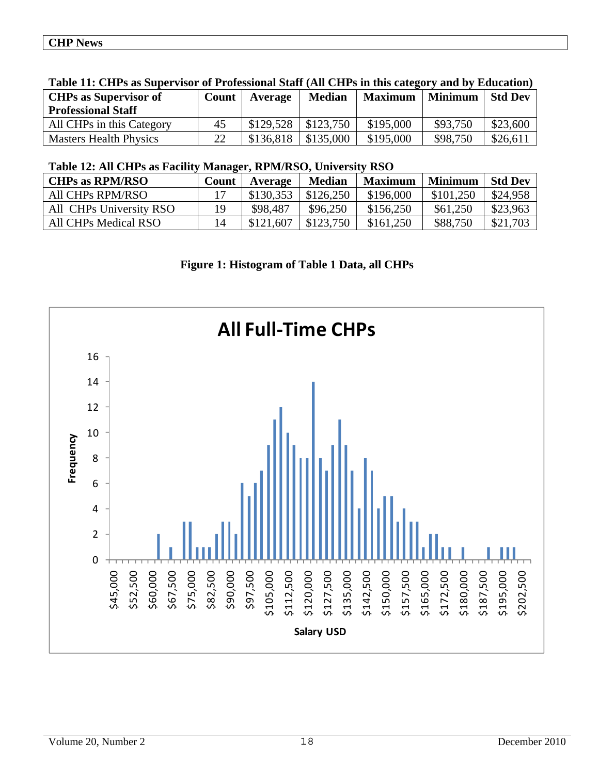| THOIC III CIIID GO D'GD'UI (1001 OI I L'OIVODIOIGH D'GGII (1111 CIII D'III GIID CGCCE ) GIIG D'I |       |           |               |                |                |                |
|--------------------------------------------------------------------------------------------------|-------|-----------|---------------|----------------|----------------|----------------|
| <b>CHPs as Supervisor of</b>                                                                     | Count | Average   | <b>Median</b> | <b>Maximum</b> | <b>Minimum</b> | <b>Std Dev</b> |
| <b>Professional Staff</b>                                                                        |       |           |               |                |                |                |
| All CHPs in this Category                                                                        | 45    | \$129,528 | \$123,750     | \$195,000      | \$93,750       | \$23,600       |
| <b>Masters Health Physics</b>                                                                    | 22    | \$136.818 | \$135,000     | \$195,000      | \$98,750       | \$26,611       |
|                                                                                                  |       |           |               |                |                |                |

# **Table 11: CHPs as Supervisor of Professional Staff (All CHPs in this category and by Education)**

# **Table 12: All CHPs as Facility Manager, RPM/RSO, University RSO**

| <b>CHPs as RPM/RSO</b>  | Count | Average   | <b>Median</b> | <b>Maximum</b> | <b>Minimum</b> | <b>Std Dev</b> |
|-------------------------|-------|-----------|---------------|----------------|----------------|----------------|
| All CHPs RPM/RSO        | 17    | \$130,353 | \$126,250     | \$196,000      | \$101,250      | \$24,958       |
| All CHPs University RSO | 19    | \$98,487  | \$96,250      | \$156,250      | \$61,250       | \$23,963       |
| All CHPs Medical RSO    | 14    | \$121,607 | \$123,750     | \$161,250      | \$88,750       | \$21,703       |
|                         |       |           |               |                |                |                |

# **Figure 1: Histogram of Table 1 Data, all CHPs**

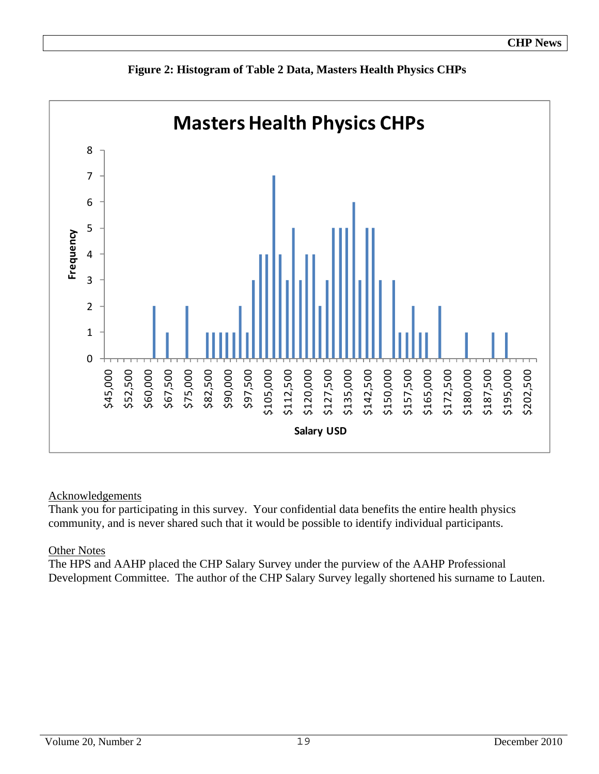

**Figure 2: Histogram of Table 2 Data, Masters Health Physics CHPs** 

# Acknowledgements

Thank you for participating in this survey. Your confidential data benefits the entire health physics community, and is never shared such that it would be possible to identify individual participants.

# Other Notes

The HPS and AAHP placed the CHP Salary Survey under the purview of the AAHP Professional Development Committee. The author of the CHP Salary Survey legally shortened his surname to Lauten.